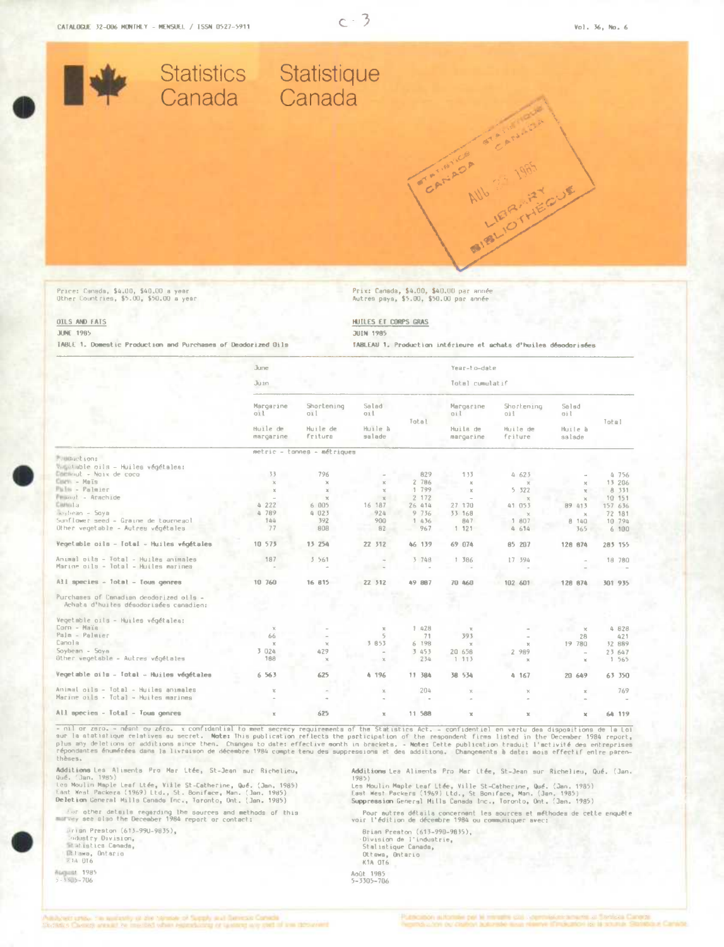

Price: Canada, \$4.00, \$40.00 a year<br>Other Countries, \$5.00, \$50.00 a year

Prix: Canada, \$4.00, \$40.00 par année<br>Autres paya, \$5.00, \$50.00 par année

OILS AND FATS **JUNE 1985** 

TABLE 1. Domestic Production and Purchases of Deodorized Oils

HUILES ET CORPS GRAS **JUEN 1985** 

TABLEAU 1. Production intérieure et achats d'huiles désodorisées

|                                                                                   | June                  |                             |                          |               |                       | Year-to-date          |                                    |                 |  |
|-----------------------------------------------------------------------------------|-----------------------|-----------------------------|--------------------------|---------------|-----------------------|-----------------------|------------------------------------|-----------------|--|
|                                                                                   | Ju in                 |                             |                          |               | Total cumulatif       |                       |                                    |                 |  |
|                                                                                   | Margarine<br>oil      | Shortening<br>011           | Salad<br>oil             | Total         | Margarine<br>oil      | Shortening<br>oil     | Salad<br>oil                       | $1$ otal        |  |
|                                                                                   | Huile de<br>margarine | Huile de<br>Fritura         | Huile à<br>salade        |               | Huila de<br>margarine | Huile de<br>friture   | Huile à<br>salade                  |                 |  |
|                                                                                   |                       | metric - tonnes - métriques |                          |               |                       |                       |                                    |                 |  |
| <b>Fallidiget ions</b>                                                            |                       |                             |                          |               |                       |                       |                                    |                 |  |
| vangelable oils - Huiles végétales:<br>Emmmut - Noix de coco                      | 33                    | 796                         |                          | 829           | 133                   |                       |                                    |                 |  |
| Cours - Mais                                                                      |                       | $\mathbb{X}$                |                          | 2 786         | $\mathbf{x}$          | 4 623                 |                                    | 4 756<br>13 206 |  |
| <b>Mulle - Palmier</b>                                                            |                       | $\chi$                      | $\mathbf{x}$<br>$\times$ | 1 799         | ×                     | $\mathbb{R}$<br>5 322 | $\mathbf{x}$<br>$\mathbf{x}$       | 8 331           |  |
| Finanzi - Arachide                                                                |                       | $\mathbf{x}$                | $\mathbb{X}$             | 2 172         |                       | $\chi$                | $\chi$                             | 10 151          |  |
| Ciatto:La                                                                         | 4222                  | 6 005                       | 16 187                   | 26 414        | 27 170                | 41 053                | 89 413                             | 157 636         |  |
| Soybean - Soya                                                                    | 789<br>$\Delta$       | 4023                        | 924                      | 9736          | 33 168                | $\mathbf{Y}$          | $\chi$                             | 72 181          |  |
| Sunflower seed - Graine de tourneacl                                              | 144                   | 392                         | 900                      | 1 436         | 847                   | 1 807                 | 8 140                              | 10 794          |  |
| Other vegetable - Autres végétales                                                | 77                    | 808                         | 82                       | 967           | 1.121                 | 4.614                 | 365                                | 6 100           |  |
| Vegetable oils - Total - Huiles végétales                                         | 10 573                | 15 254                      | 22 312                   | 46 139        | 69 074                | 85 207                | 126 674                            | 285 155         |  |
| Animal pils - Total - Huiles animales<br>Marine oils - Total - Huiles marinea     | 187                   | 3561                        |                          | 3 748         | 1 386                 | 17 594                |                                    | 18 780          |  |
| All species - Total - Tous genres                                                 | 10 760                | 16 815                      | 22 312                   | <b>49 887</b> | 70 460                | 102 601               | 128 874                            | 301 935         |  |
| Purchases of Canadian deodorized olls -<br>Achata d'huites désadorisées canadien: |                       |                             |                          |               |                       |                       |                                    |                 |  |
| Vegetable oils - Huiles végétalea:                                                |                       |                             |                          |               |                       |                       |                                    |                 |  |
| Corn - Maja                                                                       | $\mathbb{X}$          |                             | $\chi$                   | 1.428         |                       |                       | $\times$                           | 4 828           |  |
| Palm - Palmier                                                                    | 66                    |                             | $5^{\circ}$              | 71            | 393                   |                       | 28                                 | 421             |  |
| Canola                                                                            | $\mathbf x$           | $\chi$                      | 3 853                    | 6 198         | $\chi$                | $\mathcal{H}$         | 19 780                             | 32 889          |  |
| Soybean - Sqye<br>Other vegetable - Autres végétales                              | 3 024<br>168          | 429<br>x                    | $\mathbb{X}$             | 3 453<br>234  | 20 658<br>1 113       | 989<br>2<br>$\infty$  | $\overline{\phantom{a}}$<br>$\chi$ | 23 647<br>1 565 |  |
| Vegetable oils - Total - Huiles végétales                                         | 6 5 6 3               | 625                         | 4 196                    | 11 384        | 38 534                | 4.167                 | 20 649                             | 63 350          |  |
| Animal oils - Total - Huiles animales                                             | x                     |                             | $\times$                 | 204           |                       | x                     | $\mathbf x$                        | 769             |  |
| Marine oils - Total - Huites marines                                              |                       |                             |                          |               |                       |                       |                                    |                 |  |
| All species - Intal - Inum genres                                                 |                       | 625                         |                          | 11 588        |                       |                       |                                    | 44.110          |  |

- nil or zero. - néant ou zéro. x confidential to meet secrecy requirements of the Statistics Act. - confidential en vertu dea dispositions de la Loi<br>sur la statistique relatives au secret. Note: This publication reflects thèses.

Additions Les Aliments Pro Mar Ltée, St-Jean aur Richelieu,<br>Qué. (Jan. 1985)<br>Les Moulin Maple Leaf Ltée, Ville St-Catherine, Qué. (Jan. 1985)<br>Leat Mest Packera (1969) Ltd., St. Boniface, Man. (Jan. 1985)<br>Deletion General M

for other details regarding the sources and methods of this

Srisn Preston (613-990-9835), Endustry Division,<br>Elatistics Canada,<br>Eltawa, Ontario<br>Rib OT6

**Magazet 1985**<br>5 - 3505 - 706

Additions Lea Aliments Pro Mar Ltée, St-Jean sur Richelieu, Qué, (Jan.

number<br>1985)<br>Les Moulin Maple Leaf Ltée, Ville St-Catherine, Qué. (Jan. 1985)<br>East West Packers (1969) Ltd., St Boniface, Man. (Jan. 1985)<br>Suppression General Mills Canada Inc., Toronto, Ont. (Jan. 1985)

.<br>Pour autres détails concernant les aources et méthodes de cette enquête<br>voir l'édition de décembre 1984 ou communiquer avec:

Brian Preston (613–990–9835),<br>Division de l'industrie,<br>Staliatique Canada, Ottawa, Ontario

Août 1985<br>5-3305-706